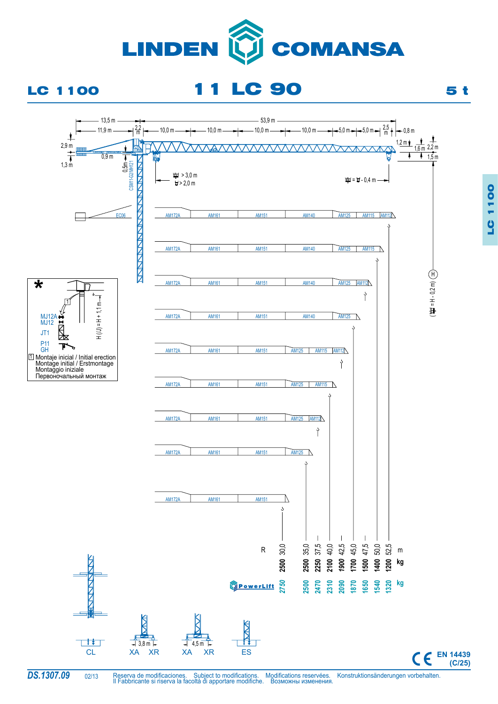

**1100** LC 1100

Reserva de modificaciones. Subject to modifications. Modifications reservées. Konstruktionsänderungen vorbehalten. Il Fabbricante si riserva la facoltà di apportare modifiche. Возможны изменения.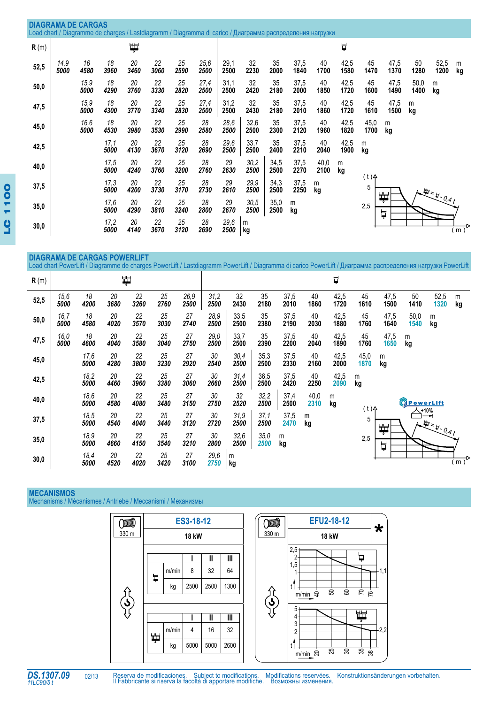|      | <b>DIAGRAMA DE CARGAS</b><br>Load chart / Diagramme de charges / Lastdiagramm / Diagramma di carico / Диаграмма распределения нагрузки |              |              |            |            |            |              |              |                 |              |              |              |              |              |              |              |                |                  |
|------|----------------------------------------------------------------------------------------------------------------------------------------|--------------|--------------|------------|------------|------------|--------------|--------------|-----------------|--------------|--------------|--------------|--------------|--------------|--------------|--------------|----------------|------------------|
| R(m) |                                                                                                                                        |              |              | ₩,         |            |            |              |              |                 |              |              |              | Å            |              |              |              |                |                  |
| 52,5 | 14,9<br>5000                                                                                                                           | 16<br>4580   | 18<br>3960   | 20<br>3460 | 22<br>3060 | 25<br>2590 | 25,6<br>2500 | 29,1<br>2500 | 32<br>2230      | 35<br>2000   | 37,5<br>1840 | 40<br>1700   | 42,5<br>1580 | 45<br>1470   | 47,5<br>1370 | 50<br>1280   | 52,5<br>1200   | m<br>kg          |
| 50,0 |                                                                                                                                        | 15,9<br>5000 | 18<br>4290   | 20<br>3760 | 22<br>3330 | 25<br>2820 | 27,4<br>2500 | 31,1<br>2500 | 32<br>2420      | 35<br>2180   | 37,5<br>2000 | 40<br>1850   | 42,5<br>1720 | 45<br>1600   | 47,5<br>1490 | 50,0<br>1400 | m<br>kg        |                  |
| 47,5 |                                                                                                                                        | 15,9<br>5000 | 18<br>4300   | 20<br>3770 | 22<br>3340 | 25<br>2830 | 27,4<br>2500 | 31,2<br>2500 | 32<br>2430      | 35<br>2180   | 37,5<br>2010 | 40<br>1860   | 42,5<br>1720 | 45<br>1610   | 47,5<br>1500 | m<br>kg      |                |                  |
| 45,0 |                                                                                                                                        | 16,6<br>5000 | 18<br>4530   | 20<br>3980 | 22<br>3530 | 25<br>2990 | 28<br>2580   | 28,6<br>2500 | 32,6<br>2500    | 35<br>2300   | 37,5<br>2120 | 40<br>1960   | 42,5<br>1820 | 45,0<br>1700 | m<br>kg      |              |                |                  |
| 42,5 |                                                                                                                                        |              | 17,1<br>5000 | 20<br>4130 | 22<br>3670 | 25<br>3120 | 28<br>2690   | 29,6<br>2500 | 33,7<br>2500    | 35<br>2400   | 37,5<br>2210 | 40<br>2040   | 42,5<br>1900 | m<br>kg      |              |              |                |                  |
| 40,0 |                                                                                                                                        |              | 17,5<br>5000 | 20<br>4240 | 22<br>3760 | 25<br>3200 | 28<br>2760   | 29<br>2630   | 30,2<br>2500    | 34,5<br>2500 | 37,5<br>2270 | 40,0<br>2100 | m<br>kg      |              |              |              |                |                  |
| 37,5 |                                                                                                                                        |              | 17,3<br>5000 | 20<br>4200 | 22<br>3730 | 25<br>3170 | 28<br>2730   | 29<br>2610   | 29,9<br>2500    | 34,3<br>2500 | 37,5<br>2250 | m<br>kg      |              | (1)<br>5     |              |              | $H = H - 0.4t$ |                  |
| 35,0 |                                                                                                                                        |              | 17,6<br>5000 | 20<br>4290 | 22<br>3810 | 25<br>3240 | 28<br>2800   | 29<br>2670   | 30,5<br>2500    | 35,0<br>2500 | m<br>kg      |              |              | 2,5          | ᄈ<br>Å       |              |                |                  |
| 30,0 |                                                                                                                                        |              | 17,2<br>5000 | 20<br>4140 | 22<br>3670 | 25<br>3120 | 28<br>2690   | 29,6<br>2500 | ${\sf m}$<br>kg |              |              |              |              |              |              |              |                | $\overline{(m)}$ |

 $\overline{a}$ 

## **Diagrama de cargas Powerlift** Load chart PowerLift / Diagramme de charges PowerLift / Lastdiagramm PowerLift / Diagramma di carico PowerLift / Диаграмма распределения нагрузки PowerLift

| R(m) |              |              |            | 単          |            |              |              |              |              |              |              | Å            |              |              |                          |                          |                                        |
|------|--------------|--------------|------------|------------|------------|--------------|--------------|--------------|--------------|--------------|--------------|--------------|--------------|--------------|--------------------------|--------------------------|----------------------------------------|
| 52,5 | 15,6<br>5000 | 18<br>4200   | 20<br>3680 | 22<br>3260 | 25<br>2760 | 26,9<br>2500 | 31,2<br>2500 | 32<br>2430   | 35<br>2180   | 37,5<br>2010 | 40<br>1860   | 42,5<br>1720 | 45<br>1610   | 47,5<br>1500 | 50<br>1410               | 52,5<br>1320             | m<br>kg                                |
| 50,0 | 16,7<br>5000 | 18<br>4580   | 20<br>4020 | 22<br>3570 | 25<br>3030 | 27<br>2740   | 28,9<br>2500 | 33,5<br>2500 | 35<br>2380   | 37,5<br>2190 | 40<br>2030   | 42,5<br>1880 | 45<br>1760   | 47,5<br>1640 | 50,0<br>1540             | m<br>kg                  |                                        |
| 47,5 | 16,0<br>5000 | 18<br>4600   | 20<br>4040 | 22<br>3580 | 25<br>3040 | 27<br>2750   | 29,0<br>2500 | 33,7<br>2500 | 35<br>2390   | 37,5<br>2200 | 40<br>2040   | 42,5<br>1890 | 45<br>1760   | 47,5<br>1650 | m<br>kg                  |                          |                                        |
| 45,0 |              | 17,6<br>5000 | 20<br>4280 | 22<br>3800 | 25<br>3230 | 27<br>2920   | 30<br>2540   | 30,4<br>2500 | 35,3<br>2500 | 37,5<br>2330 | 40<br>2160   | 42,5<br>2000 | 45,0<br>1870 | m<br>kg      |                          |                          |                                        |
| 42,5 |              | 18,2<br>5000 | 20<br>4460 | 22<br>3960 | 25<br>3380 | 27<br>3060   | 30<br>2660   | 31,4<br>2500 | 36,5<br>2500 | 37,5<br>2420 | 40<br>2250   | 42,5<br>2090 | m<br>kg      |              |                          |                          |                                        |
| 40,0 |              | 18,6<br>5000 | 20<br>4580 | 22<br>4080 | 25<br>3480 | 27<br>3150   | 30<br>2750   | 32<br>2520   | 32,2<br>2500 | 37,4<br>2500 | 40,0<br>2310 | m<br>kg      | (t)          |              | <b><u>OPowerLift</u></b> |                          |                                        |
| 37,5 |              | 18,5<br>5000 | 20<br>4540 | 22<br>4040 | 25<br>3440 | 27<br>3120   | 30<br>2720   | 31,9<br>2500 | 37,1<br>2500 | 37,5<br>2470 | m<br>kg      |              | 5            | Ħ,           |                          | $+10%$<br>╼<br>$-48.041$ |                                        |
| 35,0 |              | 18,9<br>5000 | 20<br>4660 | 22<br>4150 | 25<br>3540 | 27<br>3210   | 30<br>2800   | 32,6<br>2500 | 35,0<br>2500 | m<br>kg      |              |              | 2,5          | Å            |                          |                          |                                        |
| 30,0 |              | 18,4<br>5000 | 20<br>4520 | 22<br>4020 | 25<br>3420 | 27<br>3100   | 29,6<br>2750 | m<br>kg      |              |              |              |              |              |              |                          |                          | $\overline{(\mathsf{m})}^{\mathsf{p}}$ |

## **MECANISMOS**

Mechanisms / Mécanismes / Antriebe / Meccanismi / Механизмы



02/13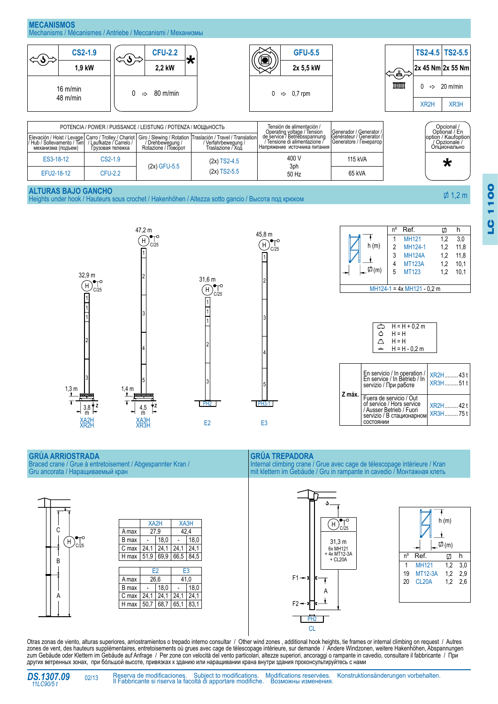



LC 1100

 $\overline{0}$ 

1100

|  | $H = H + 0.2 m$<br>H = H |  |
|--|--------------------------|--|
|  | $H = H$<br>H = H - 0.2 m |  |
|  |                          |  |

| Z máx. | En servicio / In operation / $xR2H$ 43 t<br>En service / In Betrieb / In $xR2H$<br>servizio / При работе                   | XR3H51t             |
|--------|----------------------------------------------------------------------------------------------------------------------------|---------------------|
|        | Fuera de servicio / Out<br>of service / Hors service<br>/ Ausser Betrieb / Fuori<br>servizio / В стационарном<br>СОСТОЯНИИ | XR2H42 t<br>XR3H75t |
|        |                                                                                                                            |                     |

## **Grúa arriostrada**

Braced crane / Grue à entretoisement / Abgespannter Kran / Gru ancorata / Наращиваемый кран



 $\overline{1}$ 





**Grúa trepadora**

4

5

Internal climbing crane / Grue avec cage de télescopage intérieure / Kran mit klettern im Gebäude / Gru in rampante in cavedio / Монтажная клеть





Otras zonas de viento, alturas superiores, arriostramientos o trepado interno consultar / Other wind zones , additional hook heights, tie frames or internal climbing on request / Autres zones de vent, des hauteurs supplémentaires, entretoisements où grues avec cage de télescopage intérieure, sur demande / Andere Windzonen, weitere Hakenhöhen, Abspannungen zum Gebäude oder Klettern im Gebäude auf Anfrage / Per zone con velocità del vento particolari, altezze superiori, ancoraggi o rampante in cavedio, consultare il fabbricante / При других ветренных зонах, при бóльшой высоте, привязках к зданию или наращивании крана внутри здания проконсультируйтесь с нами



02/13

Reserva de modificaciones. Subject to modifications. Modifications reservées. Konstruktionsänderungen vorbehalten. Il Fabbricante si riserva la facoltà di apportare modifiche. Возможны изменения.